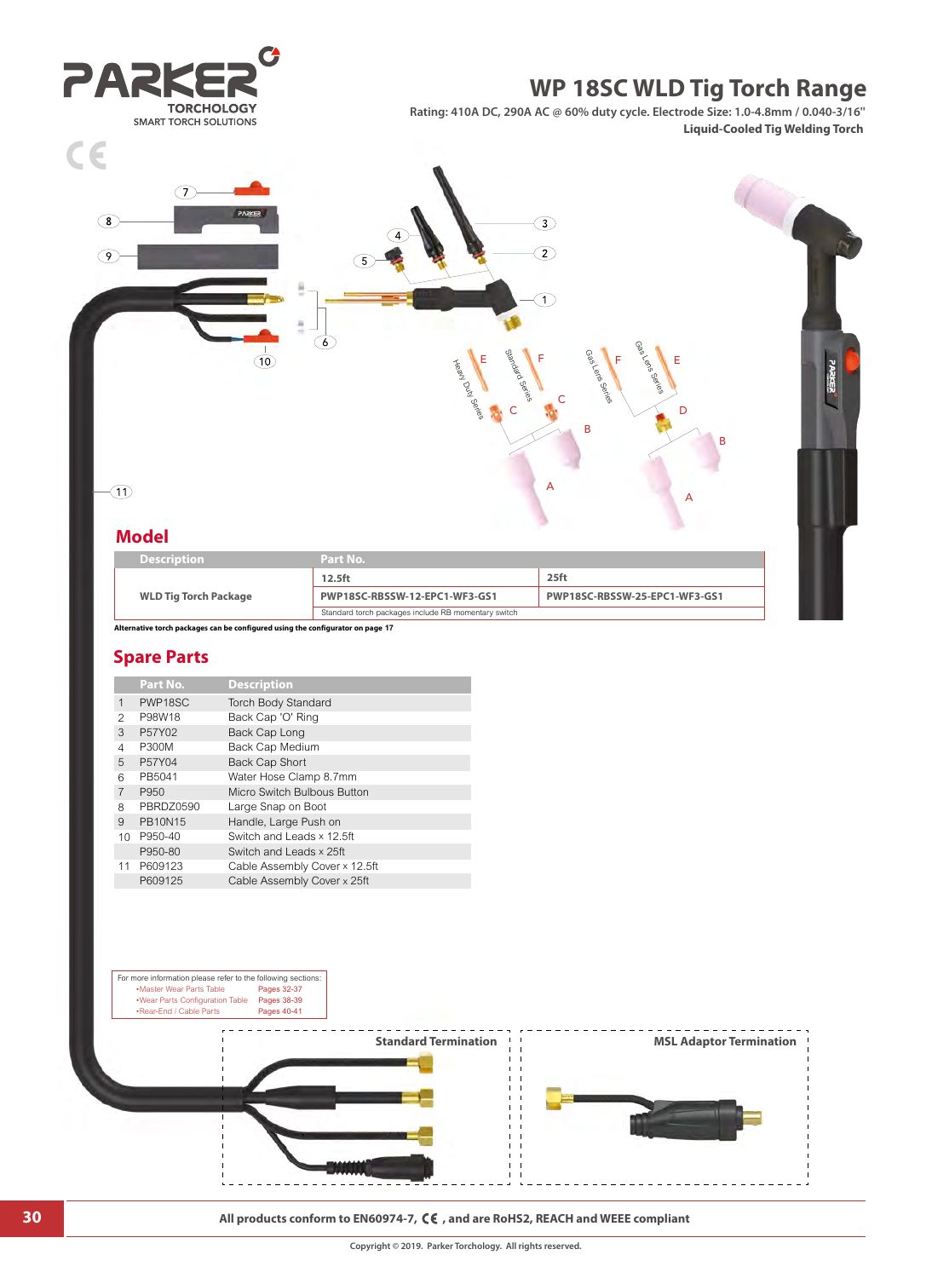

|                              | $12.5$ ft                                           | $25$ ft                       |
|------------------------------|-----------------------------------------------------|-------------------------------|
| <b>WLD Tig Torch Package</b> | PWP18SC-RBSSW-12-EPC1-WF3-GS1                       | PWP18SC-RBSSW-25-EPC1-WF3-GS1 |
|                              | Standard torch packages include RB momentary switch |                               |

**Alternative torch packages can be configured using the configurator on page 17**

## **Spare Parts**

|  |                 | Part No.       | <b>Description</b>            |
|--|-----------------|----------------|-------------------------------|
|  | 1               | PWP18SC        | <b>Torch Body Standard</b>    |
|  | 2               | P98W18         | Back Cap 'O' Ring             |
|  | 3               | P57Y02         | Back Cap Long                 |
|  | 4               | P300M          | Back Cap Medium               |
|  | 5               | P57Y04         | <b>Back Cap Short</b>         |
|  | 6               | PB5041         | Water Hose Clamp 8.7mm        |
|  | $\overline{7}$  | P950           | Micro Switch Bulbous Button   |
|  | 8               | PBRDZ0590      | Large Snap on Boot            |
|  | 9               | <b>PB10N15</b> | Handle, Large Push on         |
|  | 10 <sup>1</sup> | P950-40        | Switch and Leads x 12.5ft     |
|  |                 | P950-80        | Switch and Leads x 25ft       |
|  | 11              | P609123        | Cable Assembly Cover x 12.5ft |
|  |                 | P609125        | Cable Assembly Cover x 25ft   |



**30 All products conform to EN60974-7, CE**, and are RoHS2, REACH and WEEE compliant